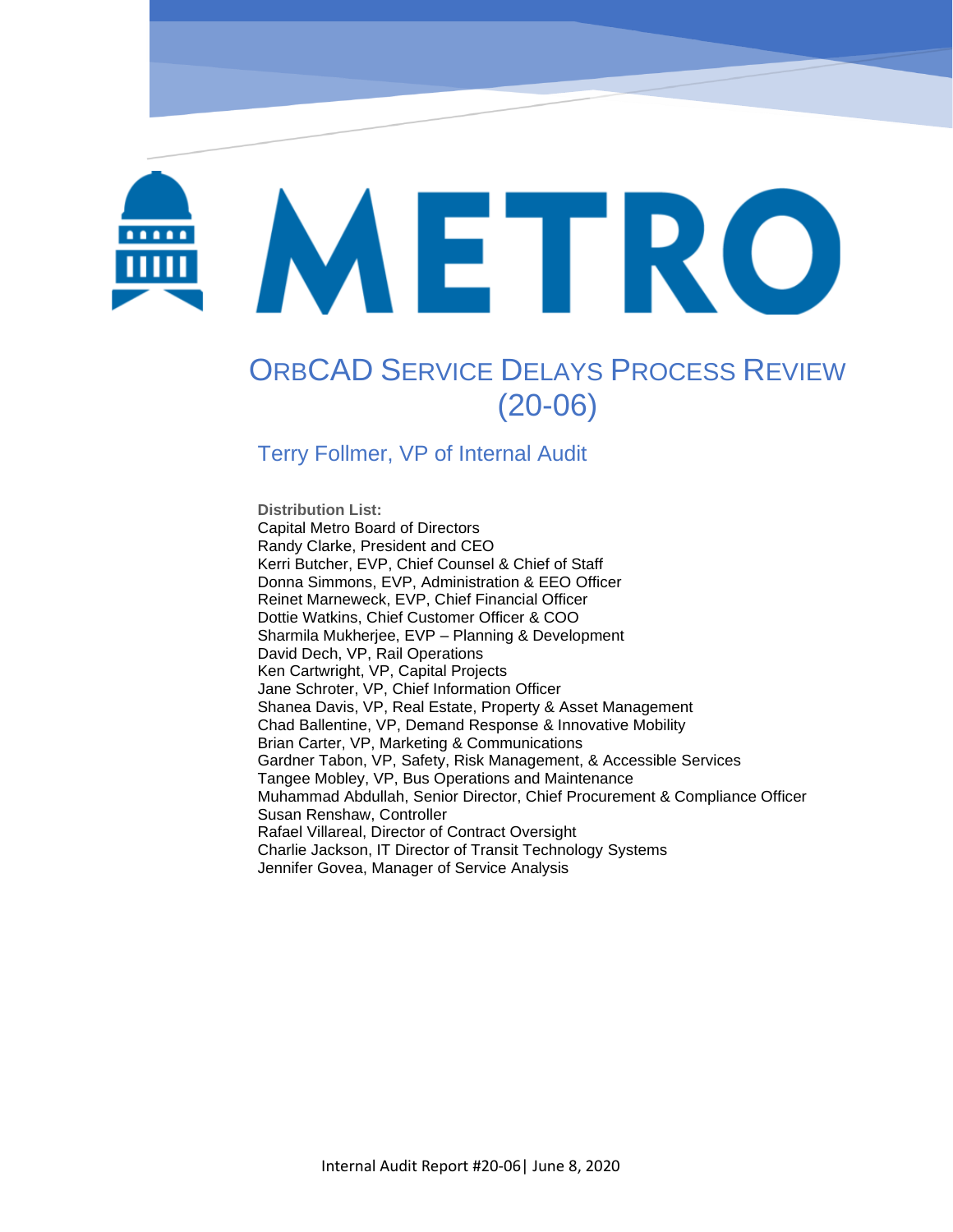# METRO

OrbCAD Service Delays Process Review (20-06)

# ORBCAD SERVICE DELAYS PROCESS REVIEW (20-06)

#### Terry Follmer, VP of Internal Audit

**Distribution List:**  Capital Metro Board of Directors Randy Clarke, President and CEO Kerri Butcher, EVP, Chief Counsel & Chief of Staff Donna Simmons, EVP, Administration & EEO Officer Reinet Marneweck, EVP, Chief Financial Officer Dottie Watkins, Chief Customer Officer & COO Sharmila Mukherjee, EVP – Planning & Development David Dech, VP, Rail Operations Ken Cartwright, VP, Capital Projects Jane Schroter, VP, Chief Information Officer Shanea Davis, VP, Real Estate, Property & Asset Management Chad Ballentine, VP, Demand Response & Innovative Mobility Brian Carter, VP, Marketing & Communications Gardner Tabon, VP, Safety, Risk Management, & Accessible Services Tangee Mobley, VP, Bus Operations and Maintenance Muhammad Abdullah, Senior Director, Chief Procurement & Compliance Officer Susan Renshaw, Controller Rafael Villareal, Director of Contract Oversight Charlie Jackson, IT Director of Transit Technology Systems Jennifer Govea, Manager of Service Analysis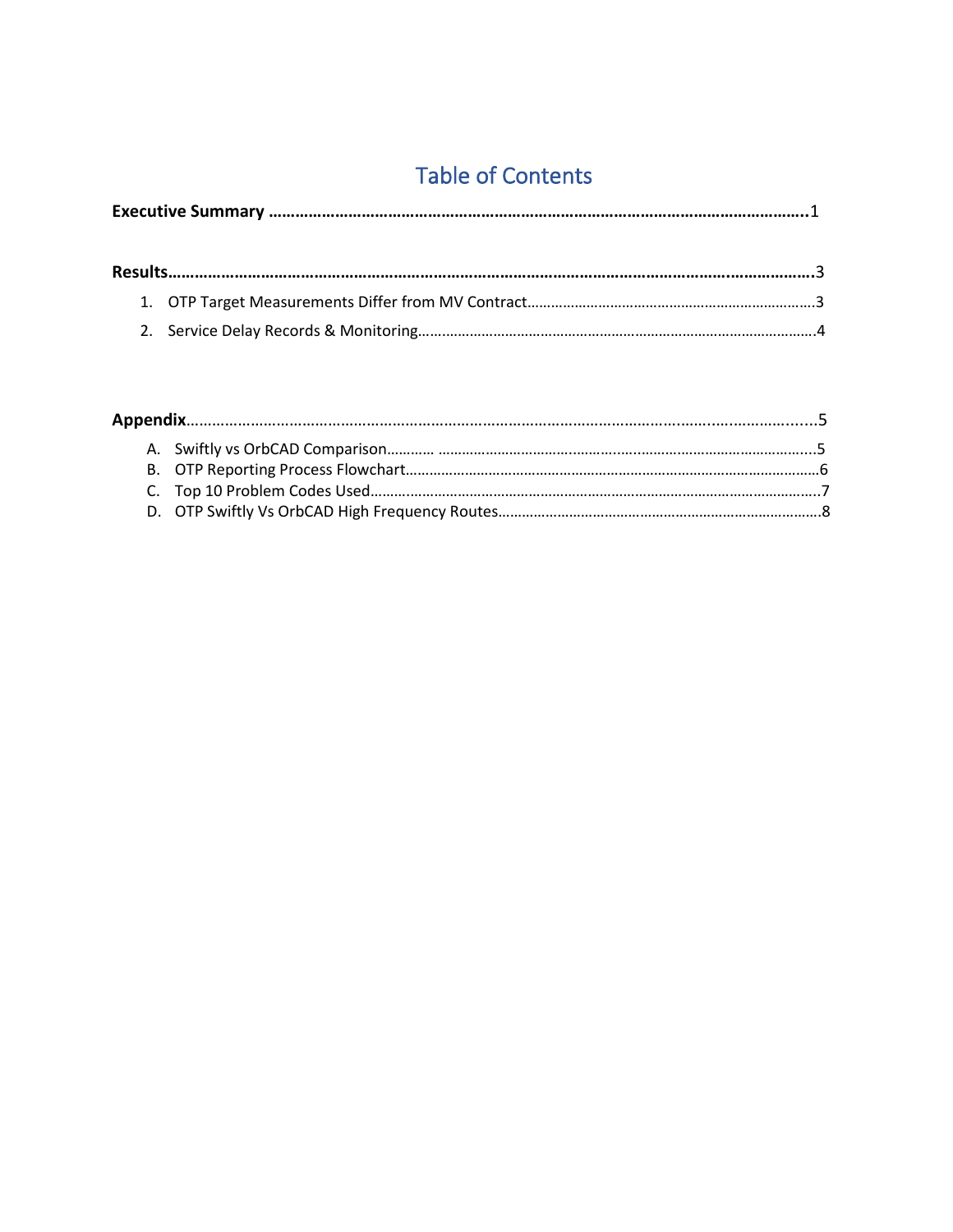# Table of Contents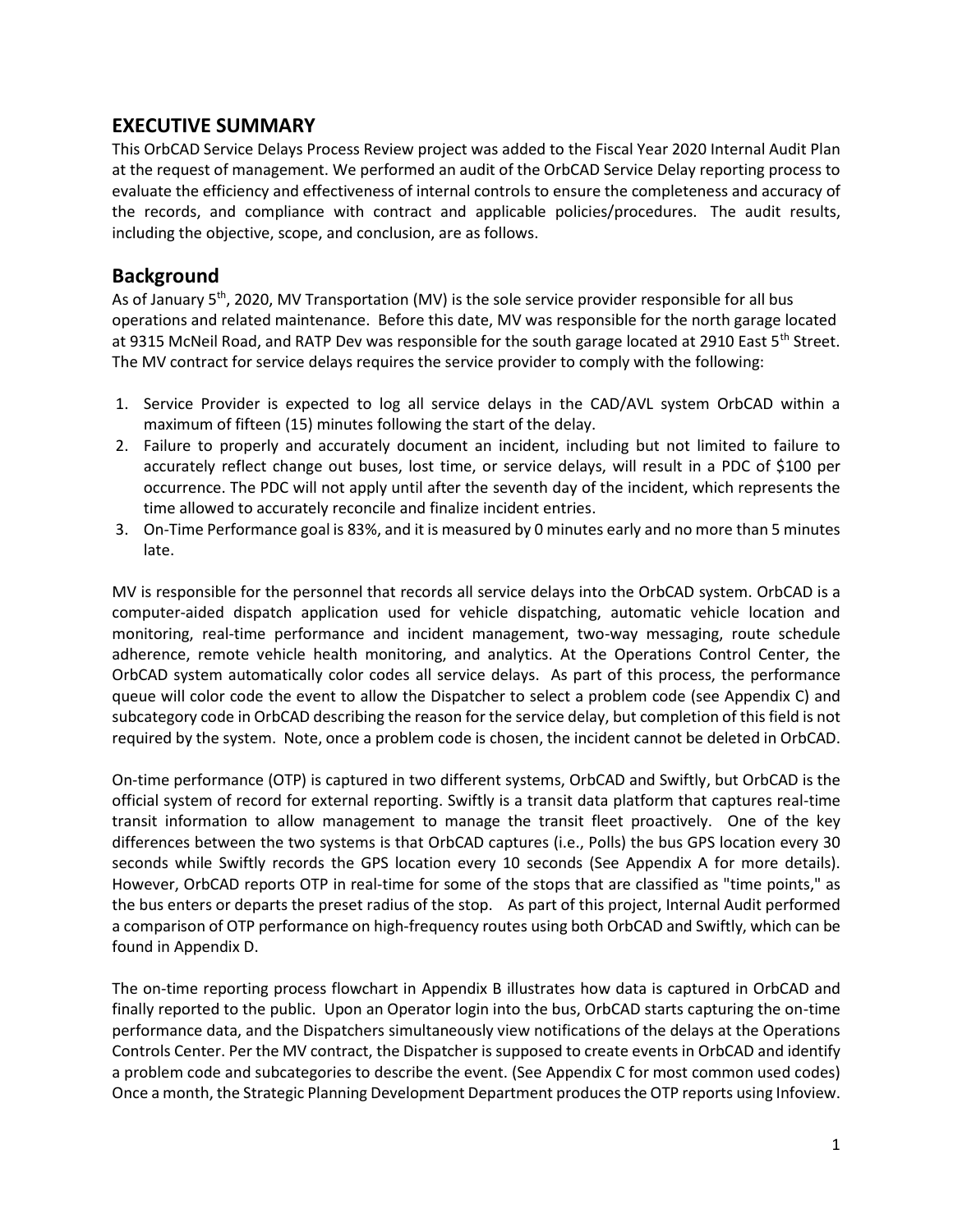#### **EXECUTIVE SUMMARY**

This OrbCAD Service Delays Process Review project was added to the Fiscal Year 2020 Internal Audit Plan at the request of management. We performed an audit of the OrbCAD Service Delay reporting process to evaluate the efficiency and effectiveness of internal controls to ensure the completeness and accuracy of the records, and compliance with contract and applicable policies/procedures. The audit results, including the objective, scope, and conclusion, are as follows.

#### **Background**

As of January  $5<sup>th</sup>$ , 2020, MV Transportation (MV) is the sole service provider responsible for all bus operations and related maintenance. Before this date, MV was responsible for the north garage located at 9315 McNeil Road, and RATP Dev was responsible for the south garage located at 2910 East 5<sup>th</sup> Street. The MV contract for service delays requires the service provider to comply with the following:

- 1. Service Provider is expected to log all service delays in the CAD/AVL system OrbCAD within a maximum of fifteen (15) minutes following the start of the delay.
- 2. Failure to properly and accurately document an incident, including but not limited to failure to accurately reflect change out buses, lost time, or service delays, will result in a PDC of \$100 per occurrence. The PDC will not apply until after the seventh day of the incident, which represents the time allowed to accurately reconcile and finalize incident entries.
- 3. On-Time Performance goal is 83%, and it is measured by 0 minutes early and no more than 5 minutes late.

MV is responsible for the personnel that records all service delays into the OrbCAD system. OrbCAD is a computer-aided dispatch application used for vehicle dispatching, automatic vehicle location and monitoring, real-time performance and incident management, two-way messaging, route schedule adherence, remote vehicle health monitoring, and analytics. At the Operations Control Center, the OrbCAD system automatically color codes all service delays. As part of this process, the performance queue will color code the event to allow the Dispatcher to select a problem code (see Appendix C) and subcategory code in OrbCAD describing the reason for the service delay, but completion of this field is not required by the system. Note, once a problem code is chosen, the incident cannot be deleted in OrbCAD.

On-time performance (OTP) is captured in two different systems, OrbCAD and Swiftly, but OrbCAD is the official system of record for external reporting. Swiftly is a transit data platform that captures real-time transit information to allow management to manage the transit fleet proactively. One of the key differences between the two systems is that OrbCAD captures (i.e., Polls) the bus GPS location every 30 seconds while Swiftly records the GPS location every 10 seconds (See Appendix A for more details). However, OrbCAD reports OTP in real-time for some of the stops that are classified as "time points," as the bus enters or departs the preset radius of the stop. As part of this project, Internal Audit performed a comparison of OTP performance on high-frequency routes using both OrbCAD and Swiftly, which can be found in Appendix D.

The on-time reporting process flowchart in Appendix B illustrates how data is captured in OrbCAD and finally reported to the public. Upon an Operator login into the bus, OrbCAD starts capturing the on-time performance data, and the Dispatchers simultaneously view notifications of the delays at the Operations Controls Center. Per the MV contract, the Dispatcher is supposed to create events in OrbCAD and identify a problem code and subcategories to describe the event. (See Appendix C for most common used codes) Once a month, the Strategic Planning Development Department produces the OTP reports using Infoview.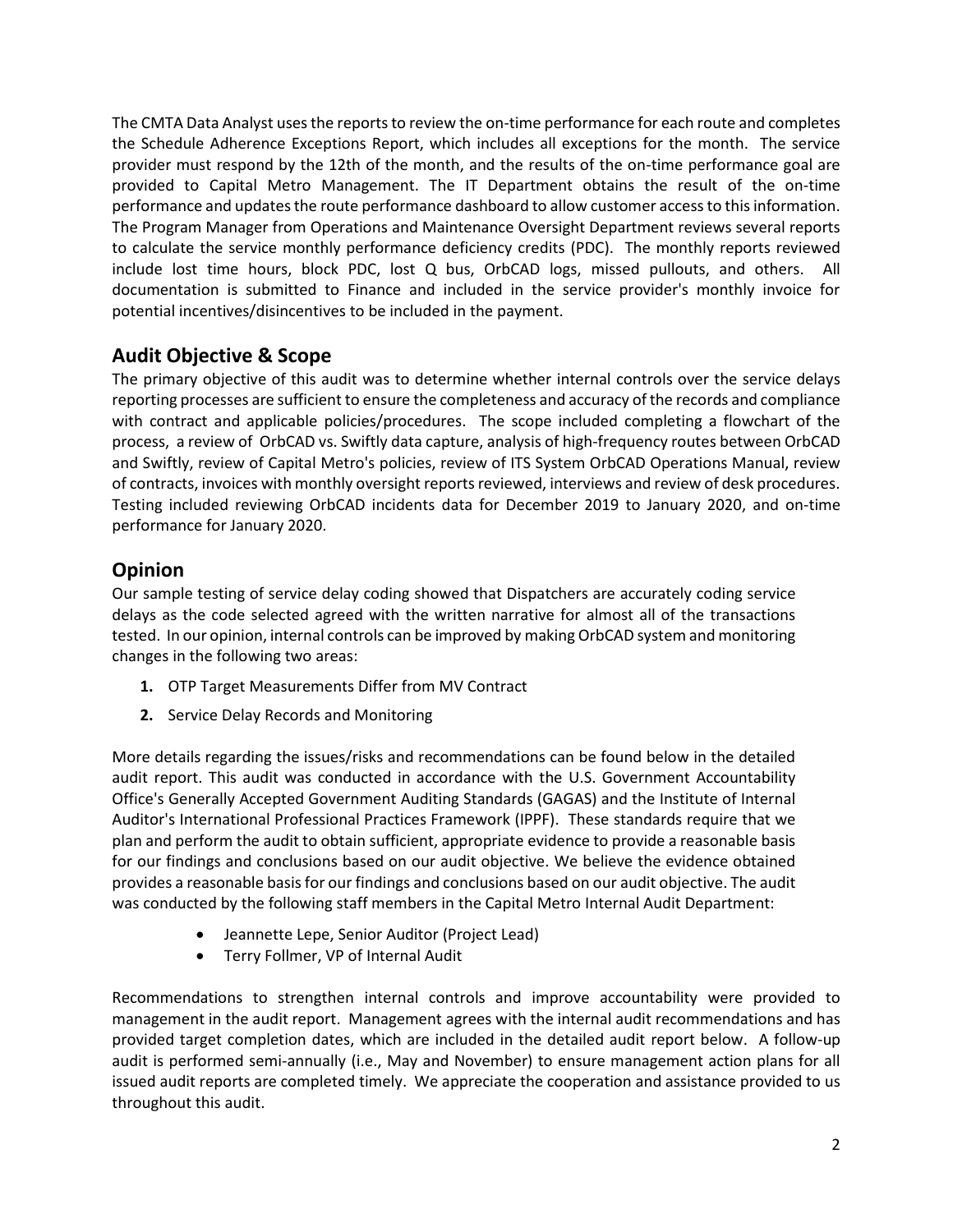The CMTA Data Analyst uses the reports to review the on-time performance for each route and completes the Schedule Adherence Exceptions Report, which includes all exceptions for the month. The service provider must respond by the 12th of the month, and the results of the on-time performance goal are provided to Capital Metro Management. The IT Department obtains the result of the on-time performance and updates the route performance dashboard to allow customer access to this information. The Program Manager from Operations and Maintenance Oversight Department reviews several reports to calculate the service monthly performance deficiency credits (PDC). The monthly reports reviewed include lost time hours, block PDC, lost Q bus, OrbCAD logs, missed pullouts, and others. All documentation is submitted to Finance and included in the service provider's monthly invoice for potential incentives/disincentives to be included in the payment.

#### **Audit Objective & Scope**

The primary objective of this audit was to determine whether internal controls over the service delays reporting processes are sufficient to ensure the completeness and accuracy of the records and compliance with contract and applicable policies/procedures. The scope included completing a flowchart of the process, a review of OrbCAD vs. Swiftly data capture, analysis of high-frequency routes between OrbCAD and Swiftly, review of Capital Metro's policies, review of ITS System OrbCAD Operations Manual, review of contracts, invoices with monthly oversight reports reviewed, interviews and review of desk procedures. Testing included reviewing OrbCAD incidents data for December 2019 to January 2020, and on-time performance for January 2020.

#### **Opinion**

Our sample testing of service delay coding showed that Dispatchers are accurately coding service delays as the code selected agreed with the written narrative for almost all of the transactions tested. In our opinion, internal controls can be improved by making OrbCAD system and monitoring changes in the following two areas:

- **1.** OTP Target Measurements Differ from MV Contract
- **2.** Service Delay Records and Monitoring

More details regarding the issues/risks and recommendations can be found below in the detailed audit report. This audit was conducted in accordance with the U.S. Government Accountability Office's Generally Accepted Government Auditing Standards (GAGAS) and the Institute of Internal Auditor's International Professional Practices Framework (IPPF). These standards require that we plan and perform the audit to obtain sufficient, appropriate evidence to provide a reasonable basis for our findings and conclusions based on our audit objective. We believe the evidence obtained provides a reasonable basis for our findings and conclusions based on our audit objective. The audit was conducted by the following staff members in the Capital Metro Internal Audit Department:

- Jeannette Lepe, Senior Auditor (Project Lead)
- Terry Follmer, VP of Internal Audit

Recommendations to strengthen internal controls and improve accountability were provided to management in the audit report. Management agrees with the internal audit recommendations and has provided target completion dates, which are included in the detailed audit report below. A follow-up audit is performed semi-annually (i.e., May and November) to ensure management action plans for all issued audit reports are completed timely. We appreciate the cooperation and assistance provided to us throughout this audit.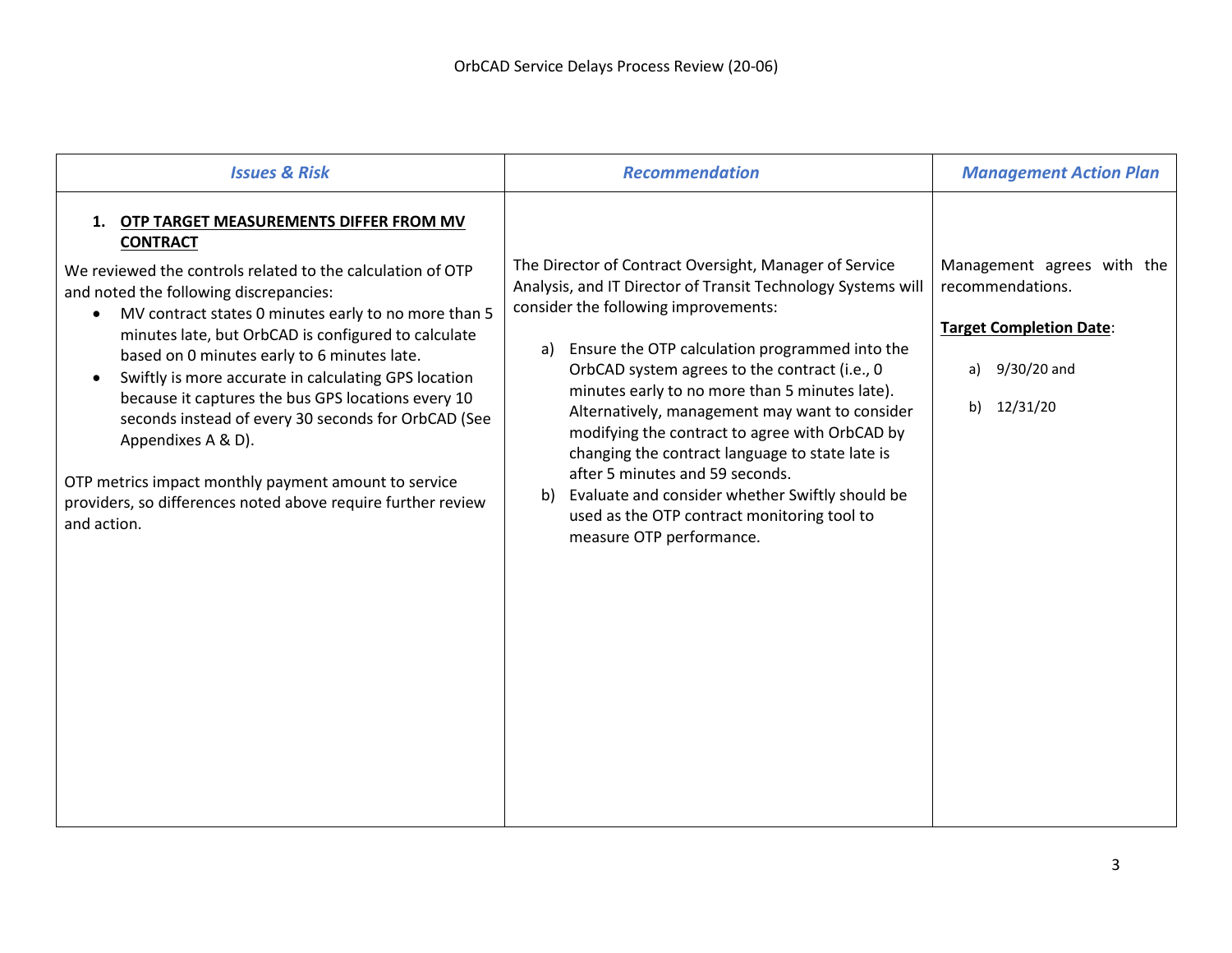| <b>Issues &amp; Risk</b>                                                                                                                                                                                                                                                                                                                                                                                                                                                                                                                                                                                                                                                          | <b>Recommendation</b>                                                                                                                                                                                                                                                                                                                                                                                                                                                                                                                                                                                                                                   | <b>Management Action Plan</b>                                                                                           |
|-----------------------------------------------------------------------------------------------------------------------------------------------------------------------------------------------------------------------------------------------------------------------------------------------------------------------------------------------------------------------------------------------------------------------------------------------------------------------------------------------------------------------------------------------------------------------------------------------------------------------------------------------------------------------------------|---------------------------------------------------------------------------------------------------------------------------------------------------------------------------------------------------------------------------------------------------------------------------------------------------------------------------------------------------------------------------------------------------------------------------------------------------------------------------------------------------------------------------------------------------------------------------------------------------------------------------------------------------------|-------------------------------------------------------------------------------------------------------------------------|
| 1. OTP TARGET MEASUREMENTS DIFFER FROM MV<br><b>CONTRACT</b><br>We reviewed the controls related to the calculation of OTP<br>and noted the following discrepancies:<br>MV contract states 0 minutes early to no more than 5<br>$\bullet$<br>minutes late, but OrbCAD is configured to calculate<br>based on 0 minutes early to 6 minutes late.<br>Swiftly is more accurate in calculating GPS location<br>because it captures the bus GPS locations every 10<br>seconds instead of every 30 seconds for OrbCAD (See<br>Appendixes A & D).<br>OTP metrics impact monthly payment amount to service<br>providers, so differences noted above require further review<br>and action. | The Director of Contract Oversight, Manager of Service<br>Analysis, and IT Director of Transit Technology Systems will<br>consider the following improvements:<br>Ensure the OTP calculation programmed into the<br>a)<br>OrbCAD system agrees to the contract (i.e., 0<br>minutes early to no more than 5 minutes late).<br>Alternatively, management may want to consider<br>modifying the contract to agree with OrbCAD by<br>changing the contract language to state late is<br>after 5 minutes and 59 seconds.<br>Evaluate and consider whether Swiftly should be<br>b)<br>used as the OTP contract monitoring tool to<br>measure OTP performance. | Management agrees with the<br>recommendations.<br><b>Target Completion Date:</b><br>9/30/20 and<br>a)<br>12/31/20<br>b) |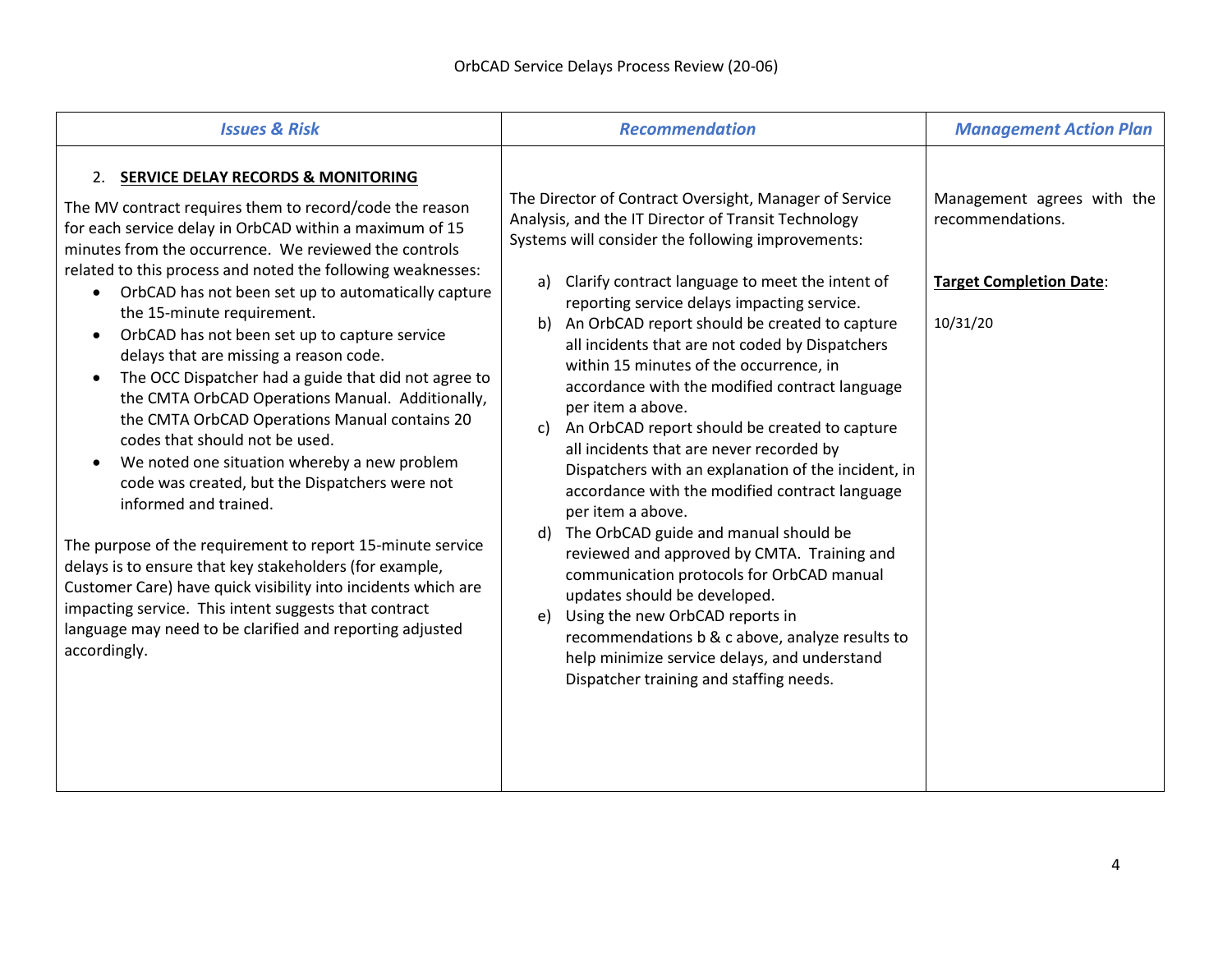| <b>Issues &amp; Risk</b>                                                                                                                                                                                                                                                                                                                                                                                                                                                                                                                                                                                                                                                                                                                                                                                                                                                                                                                                                                                                                                                                                                                  | <b>Recommendation</b>                                                                                                                                                                                                                                                                                                                                                                                                                                                                                                                                                                                                                                                                                                                                                                                                                                                                                                                                                                                                                                                                      | <b>Management Action Plan</b>                                                                |
|-------------------------------------------------------------------------------------------------------------------------------------------------------------------------------------------------------------------------------------------------------------------------------------------------------------------------------------------------------------------------------------------------------------------------------------------------------------------------------------------------------------------------------------------------------------------------------------------------------------------------------------------------------------------------------------------------------------------------------------------------------------------------------------------------------------------------------------------------------------------------------------------------------------------------------------------------------------------------------------------------------------------------------------------------------------------------------------------------------------------------------------------|--------------------------------------------------------------------------------------------------------------------------------------------------------------------------------------------------------------------------------------------------------------------------------------------------------------------------------------------------------------------------------------------------------------------------------------------------------------------------------------------------------------------------------------------------------------------------------------------------------------------------------------------------------------------------------------------------------------------------------------------------------------------------------------------------------------------------------------------------------------------------------------------------------------------------------------------------------------------------------------------------------------------------------------------------------------------------------------------|----------------------------------------------------------------------------------------------|
| 2. SERVICE DELAY RECORDS & MONITORING<br>The MV contract requires them to record/code the reason<br>for each service delay in OrbCAD within a maximum of 15<br>minutes from the occurrence. We reviewed the controls<br>related to this process and noted the following weaknesses:<br>OrbCAD has not been set up to automatically capture<br>the 15-minute requirement.<br>OrbCAD has not been set up to capture service<br>delays that are missing a reason code.<br>The OCC Dispatcher had a guide that did not agree to<br>$\bullet$<br>the CMTA OrbCAD Operations Manual. Additionally,<br>the CMTA OrbCAD Operations Manual contains 20<br>codes that should not be used.<br>We noted one situation whereby a new problem<br>code was created, but the Dispatchers were not<br>informed and trained.<br>The purpose of the requirement to report 15-minute service<br>delays is to ensure that key stakeholders (for example,<br>Customer Care) have quick visibility into incidents which are<br>impacting service. This intent suggests that contract<br>language may need to be clarified and reporting adjusted<br>accordingly. | The Director of Contract Oversight, Manager of Service<br>Analysis, and the IT Director of Transit Technology<br>Systems will consider the following improvements:<br>a) Clarify contract language to meet the intent of<br>reporting service delays impacting service.<br>b) An OrbCAD report should be created to capture<br>all incidents that are not coded by Dispatchers<br>within 15 minutes of the occurrence, in<br>accordance with the modified contract language<br>per item a above.<br>c) An OrbCAD report should be created to capture<br>all incidents that are never recorded by<br>Dispatchers with an explanation of the incident, in<br>accordance with the modified contract language<br>per item a above.<br>d) The OrbCAD guide and manual should be<br>reviewed and approved by CMTA. Training and<br>communication protocols for OrbCAD manual<br>updates should be developed.<br>e) Using the new OrbCAD reports in<br>recommendations b & c above, analyze results to<br>help minimize service delays, and understand<br>Dispatcher training and staffing needs. | Management agrees with the<br>recommendations.<br><b>Target Completion Date:</b><br>10/31/20 |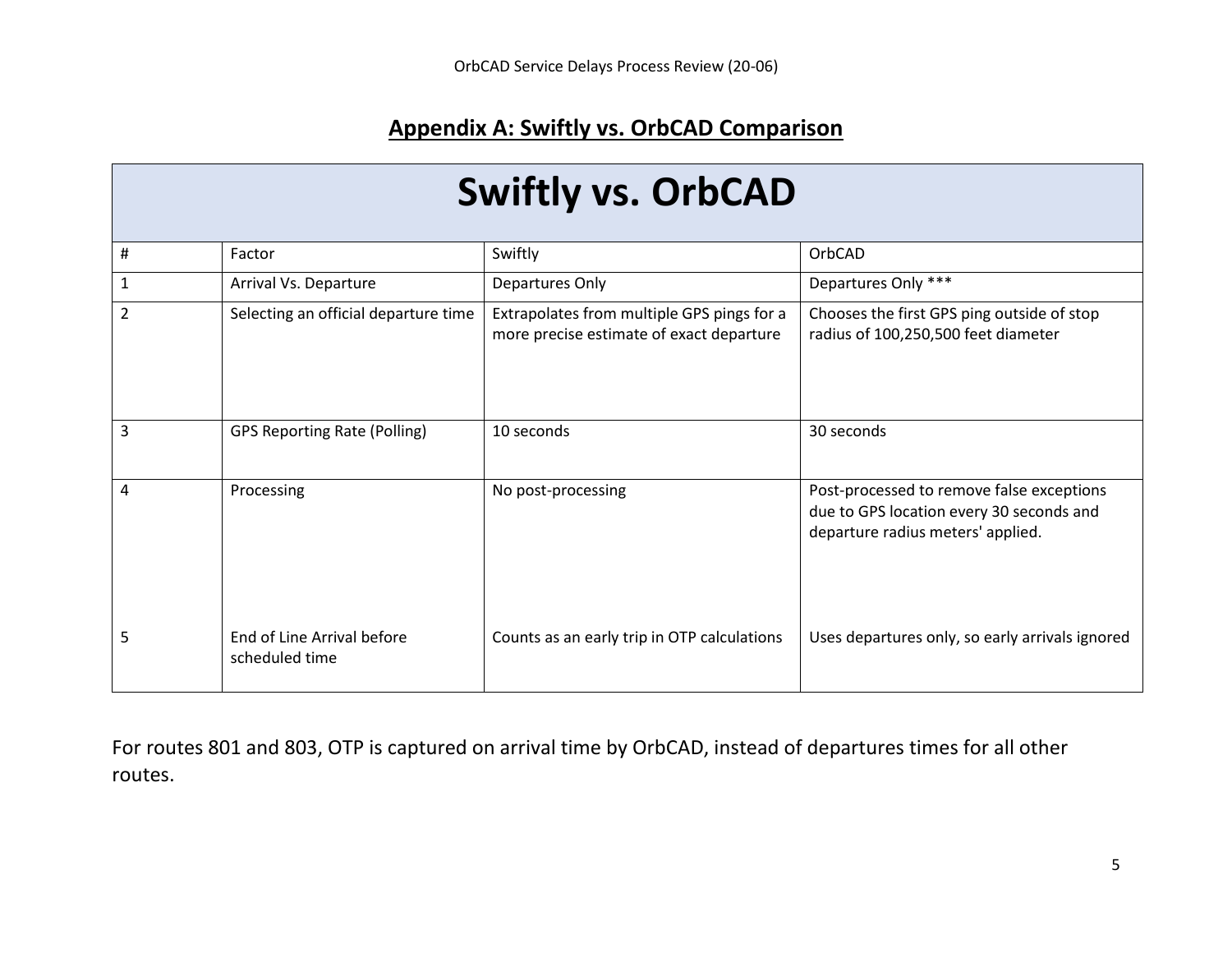## **Appendix A: Swiftly vs. OrbCAD Comparison**

| <b>Swiftly vs. OrbCAD</b> |                                              |                                                                                        |                                                                                                                            |  |  |  |  |
|---------------------------|----------------------------------------------|----------------------------------------------------------------------------------------|----------------------------------------------------------------------------------------------------------------------------|--|--|--|--|
| #                         | Factor                                       | Swiftly                                                                                | OrbCAD                                                                                                                     |  |  |  |  |
| 1                         | Arrival Vs. Departure                        | Departures Only                                                                        | Departures Only ***                                                                                                        |  |  |  |  |
| 2                         | Selecting an official departure time         | Extrapolates from multiple GPS pings for a<br>more precise estimate of exact departure | Chooses the first GPS ping outside of stop<br>radius of 100,250,500 feet diameter                                          |  |  |  |  |
| 3                         | <b>GPS Reporting Rate (Polling)</b>          | 10 seconds                                                                             | 30 seconds                                                                                                                 |  |  |  |  |
| 4                         | Processing                                   | No post-processing                                                                     | Post-processed to remove false exceptions<br>due to GPS location every 30 seconds and<br>departure radius meters' applied. |  |  |  |  |
| 5                         | End of Line Arrival before<br>scheduled time | Counts as an early trip in OTP calculations                                            | Uses departures only, so early arrivals ignored                                                                            |  |  |  |  |

For routes 801 and 803, OTP is captured on arrival time by OrbCAD, instead of departures times for all other routes.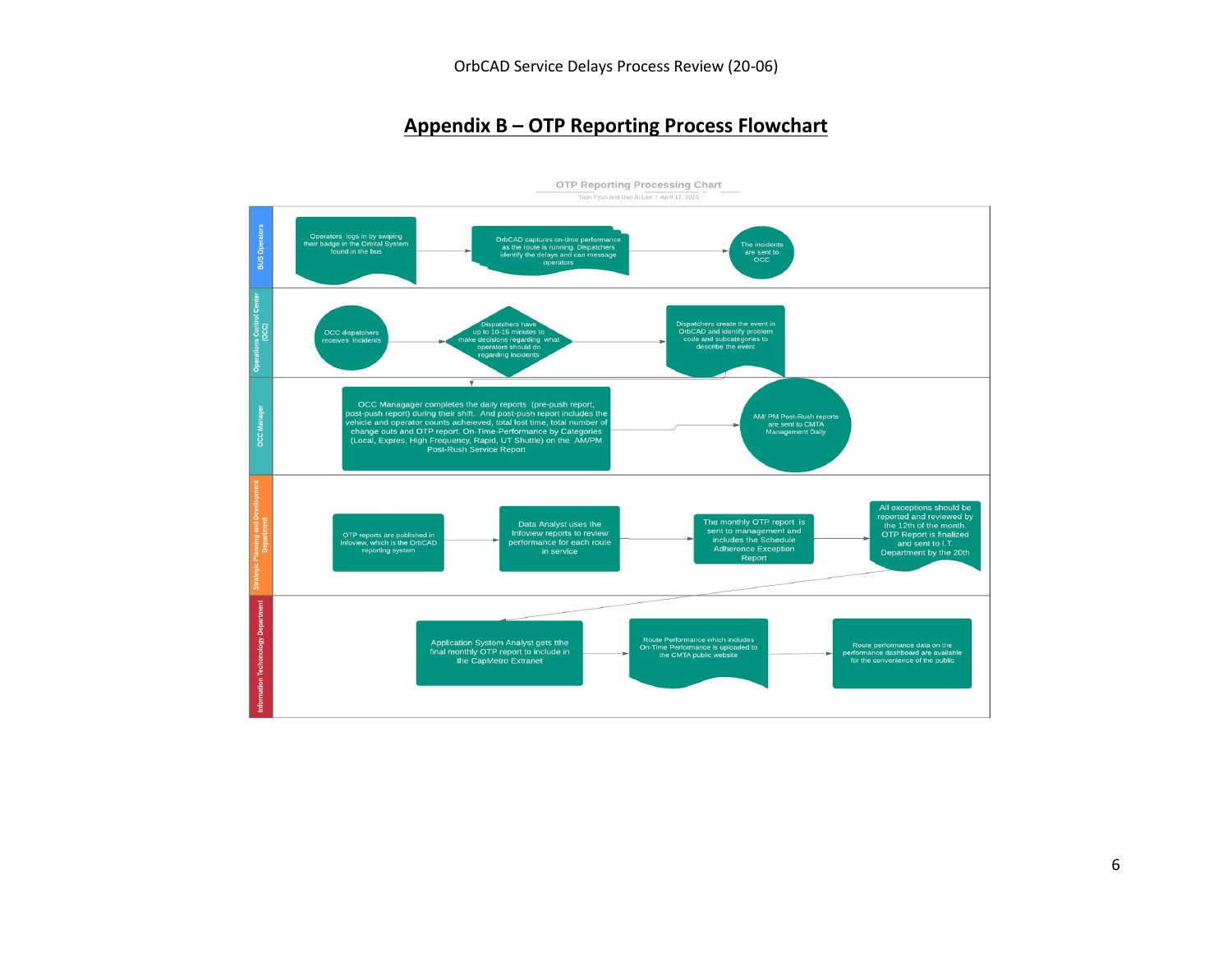#### **Appendix B – OTP Reporting Process Flowchart**

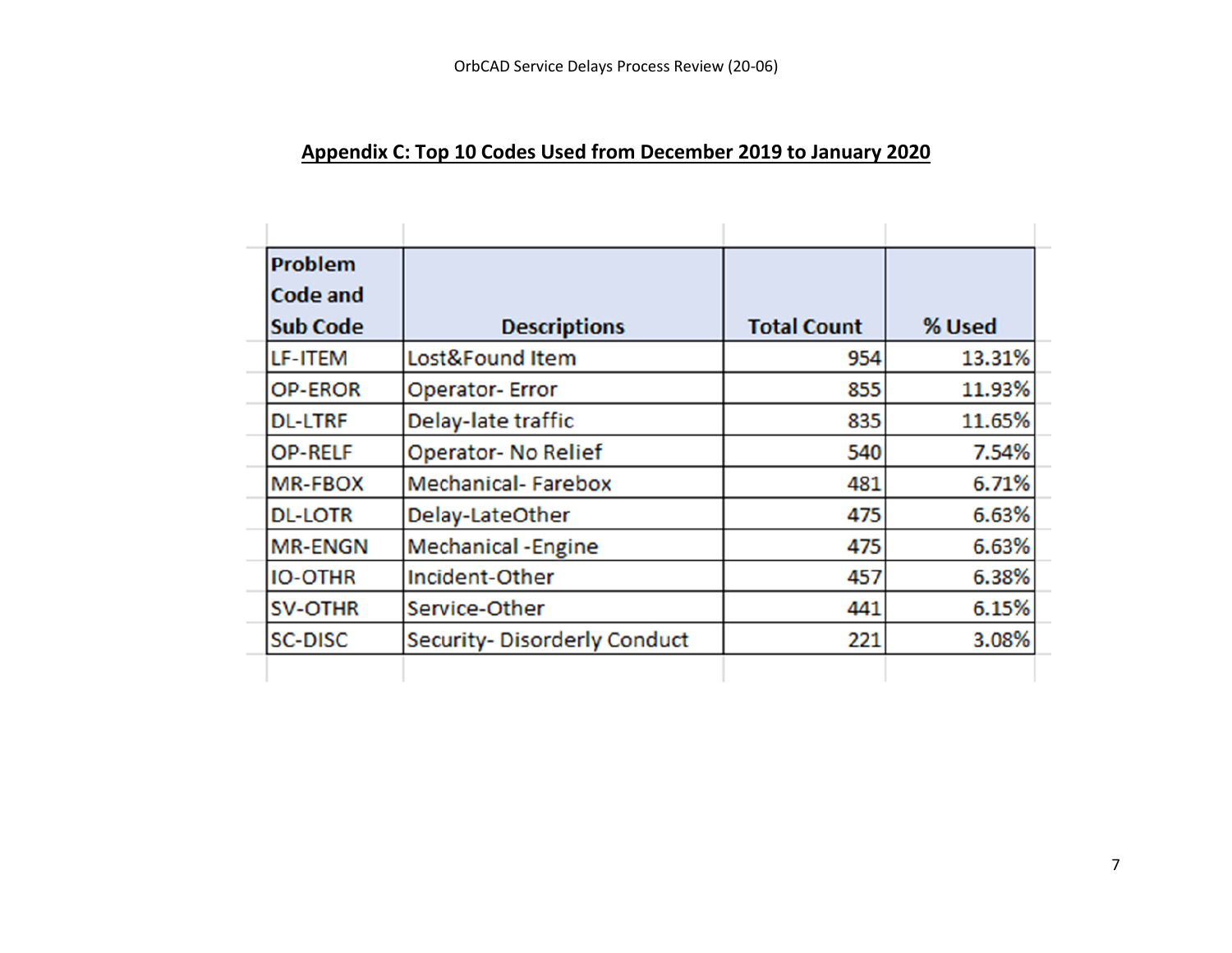## **Appendix C: Top 10 Codes Used from December 2019 to January 2020**

| <b>Problem</b>  |                                    |                    |        |
|-----------------|------------------------------------|--------------------|--------|
| Code and        |                                    |                    |        |
| <b>Sub Code</b> | <b>Descriptions</b>                | <b>Total Count</b> | % Used |
| LF-ITEM         | Lost&Found Item                    | 954                | 13.31% |
| <b>OP-EROR</b>  | <b>Operator-Error</b>              | 855                | 11.93% |
| <b>DL-LTRF</b>  | Delay-late traffic                 | 835                | 11.65% |
| <b>OP-RELF</b>  | <b>Operator-No Relief</b>          | 540                | 7.54%  |
| <b>MR-FBOX</b>  | <b>Mechanical-Farebox</b>          | 481                | 6.71%  |
| <b>DL-LOTR</b>  | Delay-LateOther                    | 475                | 6.63%  |
| <b>MR-ENGN</b>  | <b>Mechanical -Engine</b>          | 475                | 6.63%  |
| <b>IO-OTHR</b>  | Incident-Other                     | 457                | 6.38%  |
| <b>SV-OTHR</b>  | Service-Other                      | 441                | 6.15%  |
| <b>SC-DISC</b>  | <b>Security-Disorderly Conduct</b> | 221                | 3.08%  |